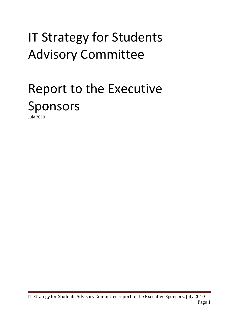# **IT Strategy for Students** Advisory#Committee

# Report to the Executive Sponsors

July#2010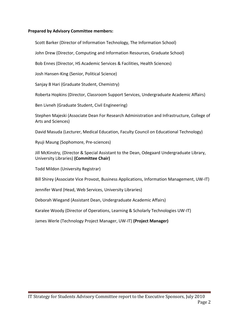### **Prepared by Advisory Committee members:**

Scott Barker (Director of Information Technology, The Information School)

John Drew (Director, Computing and Information Resources, Graduate School)

Bob Ennes (Director, HS Academic Services & Facilities, Health Sciences)

Josh Hansen-King (Senior, Political Science)

Sanjay B Hari (Graduate Student, Chemistry)

Roberta Hopkins (Director, Classroom Support Services, Undergraduate Academic Affairs)

Ben Livneh (Graduate Student, Civil Engineering)

Stephen Majeski (Associate Dean For Research Administration and Infrastructure, College of Arts and Sciences)

David Masuda (Lecturer, Medical Education, Faculty Council on Educational Technology)

Ryuji Maung (Sophomore, Pre-sciences)

Jill McKinstry, (Director & Special Assistant to the Dean, Odegaard Undergraduate Library, University#Libraries) **(Committee!Chair)**

Todd Mildon (University Registrar)

Bill Shirey (Associate Vice Provost, Business Applications, Information Management, UW-IT)

Jennifer Ward (Head, Web Services, University Libraries)

Deborah Wiegand (Assistant Dean, Undergraduate Academic Affairs)

Karalee Woody (Director of Operations, Learning & Scholarly Technologies UW-IT)

James Werle (Technology Project Manager, UW-IT) **(Project Manager)**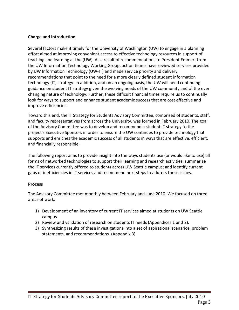### **Charge!and!Introduction**

Several factors make it timely for the University of Washington (UW) to engage in a planning effort aimed at improving convenient access to effective technology resources in support of teaching and learning at the (UW). As a result of recommendations to President Emmert from the UW Information Technology Working Group, action teams have reviewed services provided by UW Information Technology (UW-IT) and made service priority and delivery recommendations that point to the need for a more clearly defined student information technology (IT) strategy. In addition, and on an ongoing basis, the UW will need continuing guidance on student IT strategy given the evolving needs of the UW community and of the ever changing nature of technology. Further, these difficult financial times require us to continually look for ways to support and enhance student academic success that are cost effective and improve efficiencies.

Toward this end, the IT Strategy for Students Advisory Committee, comprised of students, staff, and faculty representatives from across the University, was formed in February 2010. The goal of the Advisory Committee was to develop and recommend a student IT strategy to the project's Executive Sponsors in order to ensure the UW continues to provide technology that supports and enriches the academic success of all students in ways that are effective, efficient, and financially responsible.

The following report aims to provide insight into the ways students use (or would like to use) all forms of networked technologies to support their learning and research activities; summarize the IT services currently offered to students across UW Seattle campus; and identify current gaps or inefficiencies in IT services and recommend next steps to address these issues.

#### **Process**

The Advisory Committee met monthly between February and June 2010. We focused on three areas of work:

- 1) Development of an inventory of current IT services aimed at students on UW Seattle campus.
- 2) Review and validation of research on students IT needs (Appendices 1 and 2).
- 3) Synthesizing results of these investigations into a set of aspirational scenarios, problem statements, and recommendations. (Appendix 3)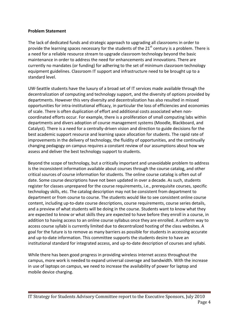### **Problem!Statement**

The lack of dedicated funds and strategic approach to upgrading all classrooms in order to provide the learning spaces necessary for the students of the  $21<sup>st</sup>$  century is a problem. There is a need for a reliable resource stream to upgrade classroom technology beyond the basic maintenance in order to address the need for enhancements and innovations. There are currently no mandates (or funding) for adhering to the set of minimum classroom technology equipment guidelines. Classroom IT support and infrastructure need to be brought up to a standard level.

UW-Seattle students have the luxury of a broad set of IT services made available through the decentralization of computing and technology support, and the diversity of options provided by departments. However this very diversity and decentralization has also resulted in missed opportunities for intra-institutional efficacy, in particular the loss of efficiencies and economies of scale. There is often duplication of effort and additional costs associated when noncoordinated efforts occur. For example, there is a proliferation of small computing labs within departments and divers adoption of course management systems (Moodle, Blackboard, and Catalyst). There is a need for a centrally-driven vision and direction to guide decisions for the best academic support resource and learning space allocation for students. The rapid rate of improvements in the delivery of technology, the fluidity of opportunities, and the continually changing pedagogy on campus requires a constant review of our assumptions about how we assess and deliver the best technology support to students.

Beyond the scope of technology, but a critically important and unavoidable problem to address is the inconsistent information available about courses through the course catalog, and other critical sources of course information for students. The online course catalog is often out of date. Some course descriptions have not been updated in over a decade. As such, students register for classes unprepared for the course requirements, i.e., prerequisite courses, specific technology skills, etc. The catalog description may not be consistent from department to department or from course to course. The students would like to see consistent online course content, including up-to-date course descriptions, course requirements, course series details, and a preview of what students will be doing in the course. Students want to know what they are expected to know or what skills they are expected to have before they enroll in a course, in addition to having access to an online course syllabus once they are enrolled. A uniform way to access course syllabi is currently limited due to decentralized hosting of the class websites. A goal for the future is to remove as many barriers as possible for students in accessing accurate and up-to-date information. This committee supports the students desire to have an institutional standard for integrated access, and up-to-date description of courses and syllabi.

While there has been good progress in providing wireless internet access throughout the campus, more work is needed to expand universal coverage and bandwidth. With the increase in use of laptops on campus, we need to increase the availability of power for laptop and mobile device charging.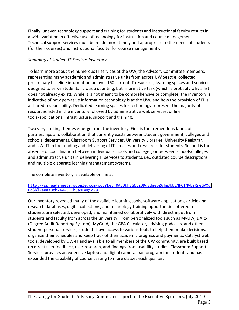Finally, uneven technology support and training for students and instructional faculty results in a wide variation in effective use of technology for instruction and course management. Technical support services must be made more timely and appropriate to the needs of students (for their courses) and instructional faculty (for course management).

## **Summary of Student IT Services Inventory**

To learn more about the numerous IT services at the UW, the Advisory Committee members, representing many academic and administrative units from across UW Seattle, collected preliminary baseline information on over 160 current IT resources, learning spaces and services designed to serve students. It was a daunting, but informative task (which is probably why a list does not already exist). While it is not meant to be comprehensive or complete, the inventory is indicative of how pervasive information technology is at the UW, and how the provision of IT is a shared responsibility. Dedicated learning spaces for technology represent the majority of resources listed in the inventory followed by administrative web services, online tools/applications, infrastructure, support and training.

Two very striking themes emerge from the inventory. First is the tremendous fabric of partnerships and collaboration that currently exists between student government, colleges and schools, departments, Classroom Support Services, University Libraries, University Registrar, and UW -IT in the funding and delivering of IT services and resources for students. Second is the absence of coordination between individual schools and colleges, or between schools/colleges and administrative units in delivering IT services to students, i.e., outdated course descriptions and multiple disparate learning management systems.

The complete inventory is available online at:

### [http://spreadsheets.google.com/ccc?key=0AvOkhEGNtzD9dEdneDZ6TmJUb2NFOTNVbzRreGVXd](http://spreadsheets.google.com/ccc?key=0AvOkhEGNtzD9dEdneDZ6TmJUb2NFOTNVbzRreGVXdHc&hl=en&authkey=CLTb6asL#gid=0) [Hc&hl=en&authkey=CLTb6asL#gid=0](http://spreadsheets.google.com/ccc?key=0AvOkhEGNtzD9dEdneDZ6TmJUb2NFOTNVbzRreGVXdHc&hl=en&authkey=CLTb6asL#gid=0)

Our inventory revealed many of the available learning tools, software applications, article and research databases, digital collections, and technology training opportunities offered to students are selected, developed, and maintained collaboratively with direct input from students and faculty from across the university. From personalized tools such as MyUW, DARS (Degree Audit Reporting System), MyGrad, the GPA Calculator, advising podcasts, and other student personal services, students have access to various tools to help them make decisions, organize their schedules and keep track of their academic progress and payments. Catalyst web tools, developed by UW-IT and available to all members of the UW community, are built based on direct user feedback, user research, and findings from usability studies. Classroom Support Services provides an extensive laptop and digital camera loan program for students and has expanded the capability of course casting to more classes each quarter.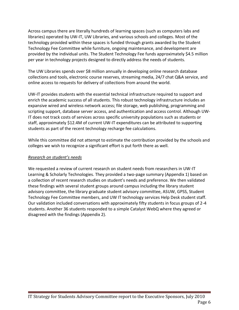Across campus there are literally hundreds of learning spaces (such as computers labs and libraries) operated by UW-IT, UW Libraries, and various schools and colleges. Most of the technology provided within these spaces is funded through grants awarded by the Student Technology Fee Committee while furniture, ongoing maintenance, and development are provided by the individual units. The Student Technology Fee funds approximately \$4.5 million per year in technology projects designed to directly address the needs of students.

The UW Libraries spends over \$8 million annually in developing online research database collections and tools, electronic course reserves, streaming media, 24/7 chat Q&A service, and online access to requests for delivery of collections from around the world.

UW-IT provides students with the essential technical infrastructure required to support and enrich the academic success of all students. This robust technology infrastructure includes an expansive wired and wireless network access; file storage, web publishing, programming and scripting support, database server access, and authentication and access control. Although UW-IT does not track costs of services across specific university populations such as students or staff, approximately \$12.4M of current UW-IT expenditures can be attributed to supporting students as part of the recent technology recharge fee calculations.

While this committee did not attempt to estimate the contribution provided by the schools and colleges we wish to recognize a significant effort is put forth there as well.

## *Research on student's needs*

We requested a review of current research on student needs from researchers in UW-IT Learning & Scholarly Technologies. They provided a two-page summary (Appendix 1) based on a collection of recent research studies on student's needs and preference. We then validated these findings with several student groups around campus including the library student advisory committee, the library graduate student advisory committee, ASUW, GPSS, Student Technology Fee Committee members, and UW IT technology services Help Desk student staff. Our validation included conversations with approximately fifty students in focus groups of 2-4 students. Another 36 students responded to a simple Catalyst WebQ where they agreed or disagreed with the findings (Appendix 2).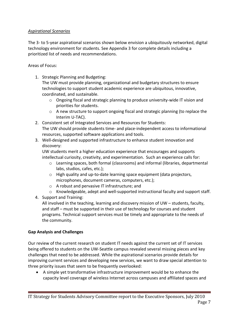# *Aspirational'Scenarios*

The 3- to 5-year aspirational scenarios shown below envision a ubiquitously networked, digital technology environment for students. See Appendix 3 for complete details including a prioritized list of needs and recommendations.

## Areas of Focus:

1. Strategic Planning and Budgeting:

The UW must provide planning, organizational and budgetary structures to ensure technologies to support student academic experience are ubiquitous, innovative, coordinated, and sustainable.

- $\circ$  Ongoing fiscal and strategic planning to produce university-wide IT vision and priorities for students.
- $\circ$  A new structure to support ongoing fiscal and strategic planning (to replace the Interim U-TAC).
- 2. Consistent set of Integrated Services and Resources for Students: The UW should provide students time- and place-independent access to informational resources, supported software applications and tools.
- 3. Well-designed and supported infrastructure to enhance student innovation and discovery:

UW students merit a higher education experience that encourages and supports intellectual curiosity, creativity, and experimentation. Such an experience calls for:

- $\circ$  Learning spaces, both formal (classrooms) and informal (libraries, departmental labs, studios, cafes, etc.);
- $\circ$  High quality and up-to-date learning space equipment (data projectors, microphones, document cameras, computers, etc.);
- $\circ$  A robust and pervasive IT infrastructure; and
- $\circ$  Knowledgeable, adept and well-supported instructional faculty and support staff.
- 4. Support and Training:

All involved in the teaching, learning and discovery mission of UW  $-$  students, faculty, and staff – must be supported in their use of technology for courses and student programs. Technical support services must be timely and appropriate to the needs of the community.

### **Gap!Analysis and!Challenges**

Our review of the current research on student IT needs against the current set of IT services being offered to students on the UW-Seattle campus revealed several missing pieces and key challenges that need to be addressed. While the aspirational scenarios provide details for improving current services and developing new services, we want to draw special attention to three priority issues that seem to be frequently overlooked:

• A simple yet transformative infrastructure improvement would be to enhance the capacity level coverage of wireless Internet across campuses and affiliated spaces and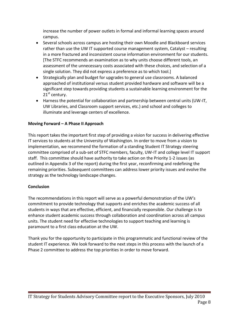increase the number of power outlets in formal and informal learning spaces around campus.

- Several schools across campus are hosting their own Moodle and Blackboard services rather than use the UW IT supported course management system, Catalyst – resulting in a more fractured and inconsistent course information environment for our students. [The STFC recommends an examination as to why units choose different tools, an assessment of the unnecessary costs associated with these choices, and selection of a single solution. They did not express a preference as to which tool.]
- Strategically plan and budget for upgrades to general use classrooms. A balanced approached of institutional versus student provided hardware and software will be a significant step towards providing students a sustainable learning environment for the  $21<sup>st</sup>$  century.
- Harness the potential for collaboration and partnership between central units (UW-IT, UW Libraries, and Classroom support services, etc.) and school and colleges to illuminate and leverage centers of excellence.

## **Moving Forward - A Phase II Approach**

This report takes the important first step of providing a vision for success in delivering effective IT services to students at the University of Washington. In order to move from a vision to implementation, we recommend the formation of a standing Student IT Strategy steering committee comprised of a sub-set of STFC members, faculty, UW-IT and college level IT support staff. This committee should have authority to take action on the Priority 1-2 issues (as outlined in Appendix 3 of the report) during the first year, reconfirming and redefining the remaining priorities. Subsequent committees can address lower priority issues and evolve the strategy as the technology landscape changes.

### **Conclusion**

The recommendations in this report will serve as a powerful demonstration of the UW's commitment to provide technology that supports and enriches the academic success of all students in ways that are effective, efficient, and financially responsible. Our challenge is to enhance student academic success through collaboration and coordination across all campus units. The student need for effective technologies to support teaching and learning is paramount to a first class education at the UW.

Thank you for the opportunity to participate in this programmatic and functional review of the student IT experience. We look forward to the next steps in this process with the launch of a Phase 2 committee to address the top priorities in order to move forward.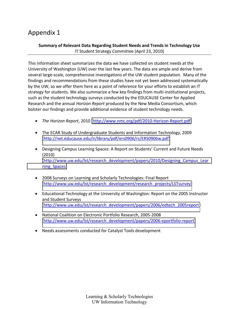# Appendix 1

### **Summary of Relevant Data Regarding Student Needs and Trends in Technology Use** IT Student Strategy Committee (April 23, 2010)

This information sheet summarizes the data we have collected on student needs at the University of Washington (UW) over the last few years. The data are ample and derive from several large-scale, comprehensive investigations of the UW student population. Many of the findings and recommendations from these studies have not yet been addressed systematically by the UW, so we offer them here as a point of reference for your efforts to establish an IT strategy for students. We also summarize a few key findings from multi-institutional projects, such as the student technology surveys conducted by the EDUCAUSE Center for Applied Research and the annual *Horizon Report* produced by the New Media Consortium, which bolster our findings and provide additional evidence of student technology needs.

- The Horizon Report, 2010 (http://www.nmc.org/pdf/2010-Horizon-Report.pdf)
- The ECAR Study of Undergraduate Students and Information Technology, 2009 [\(http://net.educause.edu/ir/library/pdf/ers0906/rs/ERS0906w.pdf\)](http://net.educause.edu/ir/library/pdf/ers0906/rs/ERS0906w.pdf)
- Designing Campus Learning Spaces: A Report on Students' Current and Future Needs  $(2010)$ [\(http://www.uw.edu/lst/research\\_development/papers/2010/Designing\\_Campus\\_Lear](http://www.uw.edu/lst/research_development/papers/2010/Designing_Campus_Learning_Spaces) [ning\\_Spaces\)](http://www.uw.edu/lst/research_development/papers/2010/Designing_Campus_Learning_Spaces)
- 2008 Surveys on Learning and Scholarly Technologies: Final Report [\(http://www.uw.edu/lst/research\\_development/research\\_projects/LSTsurvey\)](http://www.uw.edu/lst/research_development/research_projects/LSTsurvey)
- Educational Technology at the University of Washington: Report on the 2005 Instructor and Student Surveys [\(http://www.uw.edu/lst/research\\_development/papers/2006/edtech\\_2005report\)](http://www.uw.edu/lst/research_development/papers/2006/edtech_2005report)
- National Coalition on Electronic Portfolio Research, 2005-2008 (http://www.uw.edu/lst/research\_development/papers/2006-eportfolio-report)
- Needs assessments conducted for Catalyst Tools development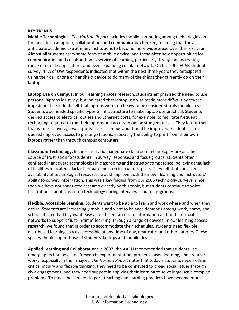#### **KEY!TRENDS**

**Mobile Technologies:** *The Horizon Report* includes mobile computing among technologies on the near-term adoption, collaboration, and communication horizon, meaning that they anticipate academic use at many institutions to become more widespread over the next year. Almost all students carry some form of mobile device, and these offer new opportunities for communication and collaboration in service of learning, particularly through an increasing range of mobile applications and ever-expanding cellular network. On the 2009 ECAR student survey, 44% of UW respondents indicated that within the next three years they anticipated using their cell phone or handheld device to do many of the things they currently do on their laptops.

**Laptop Use on Campus:** In our learning spaces research, students emphasized the need to use personal laptops for study, but indicated that laptop use was made more difficult by several impediments. Students felt that laptops were too heavy to be considered truly mobile devices. Students also needed specific types of infrastructure to make laptop use practical. Students desired access to electrical outlets and Ethernet ports, for example, to facilitate frequent recharging required to run their laptops and access to online study materials. They felt further that wireless coverage was spotty across campus and should be improved. Students also desired improved access to printing stations, especially the ability to print from their own laptops rather than through campus computers.

**Classroom Technology:** Inconsistent and inadequate classroom technologies are another source of frustration for students. In survey responses and focus groups, students often conflated inadequate technologies in classrooms and instructor competence, believing that lack of facilities indicated a lack of preparedness on instructors' parts. They felt that consistent availability of technological resources would improve both their own learning and instructors' ability to convey information. This was a key finding from our 2005 technology surveys; since then we have not conducted research directly on this topic, but students continue to voice frustrations about classroom technology during interviews and focus groups.

**Flexible, Accessible Learning**: Students want to be able to learn and work where and when they desire. Students are increasingly mobile and want to balance demands among work, home, and school efficiently. They want easy and efficient access to information and to their social networks to support "just-in-time" learning, through a range of devices. In our learning spaces research, we found that in order to accommodate their schedules, students need flexible, distributed learning spaces, accessible at any time of day, near cafés and other eateries. These spaces should support use of students' laptops and mobile devices.

**Applied Learning and Collaboration**: In 2007, the AACU recommended that students use emerging technologies for "research, experimentation, problem-based learning, and creative work," especially in their majors. The Horizon Report notes that today's students need skills in critical inquiry and flexible thinking; they need to be connected to broad social issues through civic engagement; and they need support in applying their learning to solve large-scale complex problems. To meet these needs in part, teaching and learning practices have become more

> Learning & Scholarly Technologies UW Information Technology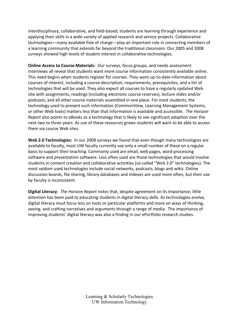interdisciplinary, collaborative, and field-based; students are learning through experience and applying their skills in a wide variety of applied research and service projects. Collaborative technologies—many available free of charge—play an important role in connecting members of a learning community that extends far beyond the traditional classroom. Our 2005 and 2008 surveys showed high levels of student interest in collaborative technologies.

**Online Access to Course Materials:** Our surveys, focus groups, and needs assessment interviews all reveal that students want more course information consistently available online. This need begins when students register for courses. They want up-to-date information about courses of interest, including a course description, requirements, prerequisites, and a list of technologies that will be used. They also expect all courses to have a regularly updated Web site with assignments, readings (including electronic course reserves), lecture slides and/or podcasts, and all other course materials assembled in one place. For most students, the technology used to present such information (CommonView, Learning Management Systems, or other Web tools) matters less than that information is available and accessible. *The Horizon Report* also points to eBooks as a technology that is likely to see significant adoption over the next two to three years. As use of these resources grows students will want to be able to access them via course Web sites.

Web 2.0 Technologies: In our 2008 surveys we found that even though many technologies are available to faculty, most UW faculty currently use only a small number of these on a regular basis to support their teaching. Commonly used are email, web pages, word processing software and presentation software. Less often used are those technologies that would involve students in content creation and collaborative activities (so-called "Web 2.0" technologies). The most seldom used technologies include social networks, podcasts, blogs and wikis. Online discussion boards, file sharing, library databases and indexes are used more often, but their use by faculty is inconsistent.

**Digital Literacy**: *The Horizon Report* notes that, despite agreement on its importance, little attention has been paid to educating students in digital literacy skills. As technologies evolve, digital literacy must focus less on tools or particular platforms and more on ways of thinking, seeing, and crafting narratives and arguments through a range of media. The importance of improving students' digital literacy was also a finding in our ePortfolio research studies.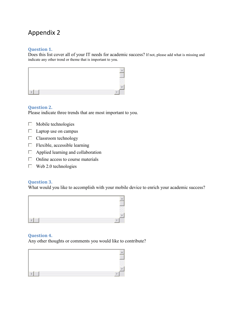# Appendix 2

### **Question)1.**

Does this list cover all of your IT needs for academic success? If not, please add what is missing and indicate any other trend or theme that is important to you.



### **Question)2.**

Please indicate three trends that are most important to you.

- $\Box$  Mobile technologies
- $\Box$  Laptop use on campus
- $\Box$  Classroom technology
- $\Box$  Flexible, accessible learning
- $\Box$  Applied learning and collaboration
- $\Box$  Online access to course materials
- $\Box$  Web 2.0 technologies

### **Question)3.**

What would you like to accomplish with your mobile device to enrich your academic success?



#### **Question)4.**

Any other thoughts or comments you would like to contribute?

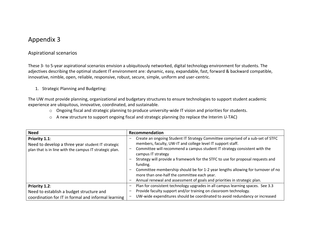# Appendix 3

# Aspirational scenarios

These 3- to 5-year aspirational scenarios envision a ubiquitously networked, digital technology environment for students. The adjectives describing the optimal student IT environment are: dynamic, easy, expandable, fast, forward & backward compatible, innovative, nimble, open, reliable, responsive, robust, secure, simple, uniform and user-centric.

1. Strategic Planning and Budgeting:

The UW must provide planning, organizational and budgetary structures to ensure technologies to support student academic experience are ubiquitous, innovative, coordinated, and sustainable.

- o Ongoing fiscal and strategic planning to produce university-wide IT vision and priorities for students.
- o A new structure to support ongoing fiscal and strategic planning (to replace the Interim U-TAC)

| <b>Need</b>                                                                                                                   | Recommendation                                                                                                                                                                                                                                                                                                                                                                                                                                                                                                                                                |
|-------------------------------------------------------------------------------------------------------------------------------|---------------------------------------------------------------------------------------------------------------------------------------------------------------------------------------------------------------------------------------------------------------------------------------------------------------------------------------------------------------------------------------------------------------------------------------------------------------------------------------------------------------------------------------------------------------|
| Priority 1.1:<br>Need to develop a three year student IT strategic<br>plan that is in line with the campus IT strategic plan. | Create an ongoing Student IT Strategy Committee comprised of a sub-set of STFC<br>members, faculty, UW-IT and college level IT support staff.<br>Committee will recommend a campus student IT strategy consistent with the<br>campus IT strategy<br>Strategy will provide a framework for the STFC to use for proposal requests and<br>funding.<br>Committee membership should be for 1-2 year lengths allowing for turnover of no<br>more than one-half the committee each year.<br>Annual renewal and assessment of goals and priorities in strategic plan. |
| Priority 1.2:<br>Need to establish a budget structure and<br>coordination for IT in formal and informal learning              | Plan for consistent technology upgrades in all campus learning spaces. See 3.3<br>Provide faculty support and/or training on classroom technology.<br>UW-wide expenditures should be coordinated to avoid redundancy or increased                                                                                                                                                                                                                                                                                                                             |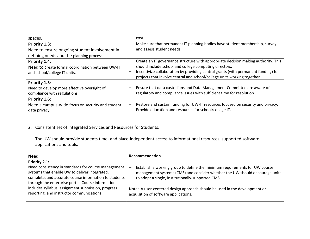| spaces.                                                                                                    | cost.                                                                                                                                                                                                                                                                                                               |
|------------------------------------------------------------------------------------------------------------|---------------------------------------------------------------------------------------------------------------------------------------------------------------------------------------------------------------------------------------------------------------------------------------------------------------------|
| Priority 1.3:<br>Need to ensure ongoing student involvement in<br>defining needs and the planning process. | Make sure that permanent IT planning bodies have student membership, survey<br>and assess student needs.                                                                                                                                                                                                            |
| Priority 1.4:<br>Need to create formal coordination between UW-IT<br>and school/college IT units.          | Create an IT governance structure with appropriate decision making authority. This<br>-<br>should include school and college computing directors.<br>Incentivize collaboration by providing central grants (with permanent funding) for<br>projects that involve central and school/college units working together. |
| Priority 1.5:<br>Need to develop more effective oversight of<br>compliance with regulations                | Ensure that data custodians and Data Management Committee are aware of<br>regulatory and compliance issues with sufficient time for resolution.                                                                                                                                                                     |
| Priority 1.6:<br>Need a campus-wide focus on security and student<br>data privacy                          | Restore and sustain funding for UW-IT resources focused on security and privacy.<br>Provide education and resources for school/college IT.                                                                                                                                                                          |

# 2. Consistent set of Integrated Services and Resources for Students:

The UW should provide students time- and place-independent access to informational resources, supported software applications and tools.

| <b>Need</b>                                                                                                                                                                                                                         | Recommendation                                                                                                                                                                                                                             |
|-------------------------------------------------------------------------------------------------------------------------------------------------------------------------------------------------------------------------------------|--------------------------------------------------------------------------------------------------------------------------------------------------------------------------------------------------------------------------------------------|
| Priority 2.1:<br>Need consistency in standards for course management<br>systems that enable UW to deliver integrated,<br>complete, and accurate course information to students<br>through the enterprise portal. Course information | Establish a working group to define the minimum requirements for UW course<br>$\overline{\phantom{0}}$<br>management systems (CMS) and consider whether the UW should encourage units<br>to adopt a single, institutionally-supported CMS. |
| includes syllabus, assignment submission, progress<br>reporting, and instructor communications.                                                                                                                                     | Note: A user-centered design approach should be used in the development or<br>acquisition of software applications.                                                                                                                        |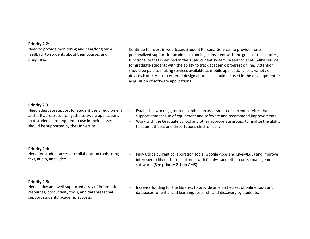| Priority 2.2:<br>Need to provide monitoring and near/long term<br>feedback to students about their courses and<br>programs.                                                                                                        | Continue to invest in web-based Student Personal Services to provide more<br>personalized support for academic planning, consistent with the goals of the concierge<br>functionality that is defined in the Kuali Student system. Need for a DARS-like service<br>for graduate students with the ability to track academic progress online. Attention<br>should be paid to making services available as mobile applications for a variety of<br>devices. Note: A user-centered design approach should be used in the development or<br>acquisition of software applications. |
|------------------------------------------------------------------------------------------------------------------------------------------------------------------------------------------------------------------------------------|------------------------------------------------------------------------------------------------------------------------------------------------------------------------------------------------------------------------------------------------------------------------------------------------------------------------------------------------------------------------------------------------------------------------------------------------------------------------------------------------------------------------------------------------------------------------------|
| <b>Priority 2.3</b><br>Need adequate support for student use of equipment<br>and software. Specifically, the software applications<br>that students are required to use in their classes<br>should be supported by the University. | Establish a working group to conduct an assessment of current services that<br>$\qquad \qquad \blacksquare$<br>support student use of equipment and software and recommend improvements.<br>Work with the Graduate School and other appropriate groups to finalize the ability<br>$\overline{\phantom{0}}$<br>to submit theses and dissertations electronically.                                                                                                                                                                                                             |
| Priority 2.4:<br>Need for student access to collaboration tools using<br>text, audio, and video.                                                                                                                                   | Fully utilize current collaboration tools (Google Apps and Live@Edu) and improve<br>interoperability of these platforms with Catalyst and other course management<br>software. (See priority 2.1 on CMS).                                                                                                                                                                                                                                                                                                                                                                    |
| Priority 2.5:<br>Need a rich and well-supported array of information<br>resources, productivity tools, and databases that<br>support students' academic success.                                                                   | Increase funding for the libraries to provide an enriched set of online tools and<br>databases for enhanced learning, research, and discovery by students.                                                                                                                                                                                                                                                                                                                                                                                                                   |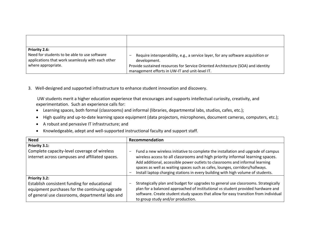| Priority 2.6:                                     | Require interoperability, e.g., a service layer, for any software acquisition or |
|---------------------------------------------------|----------------------------------------------------------------------------------|
| Need for students to be able to use software      | development.                                                                     |
| applications that work seamlessly with each other | Provide sustained resources for Service Oriented Architecture (SOA) and identity |
| where appropriate.                                | management efforts in UW-IT and unit-level IT.                                   |

3. Well-designed and supported infrastructure to enhance student innovation and discovery.

UW students merit a higher education experience that encourages and supports intellectual curiosity, creativity, and experimentation. Such an experience calls for:

- Learning spaces, both formal (classrooms) and informal (libraries, departmental labs, studios, cafes, etc.);
- High quality and up-to-date learning space equipment (data projectors, microphones, document cameras, computers, etc.);
- $\bullet$  A robust and pervasive IT infrastructure; and
- Knowledgeable, adept and well-supported instructional faculty and support staff.

| <b>Need</b>                                                                                                                                                         | Recommendation                                                                                                                                                                                                                                                                                                                                                                                                         |
|---------------------------------------------------------------------------------------------------------------------------------------------------------------------|------------------------------------------------------------------------------------------------------------------------------------------------------------------------------------------------------------------------------------------------------------------------------------------------------------------------------------------------------------------------------------------------------------------------|
| Priority 3.1:<br>Complete capacity-level coverage of wireless<br>internet across campuses and affiliated spaces.                                                    | Fund a new wireless initiative to complete the installation and upgrade of campus<br>wireless access to all classrooms and high priority informal learning spaces.<br>Add additional, accessible power outlets to classrooms and informal learning<br>spaces as well as waiting spaces such as cafes, lounges, corridors/hallways.<br>Install laptop charging stations in every building with high volume of students. |
| Priority 3.2:<br>Establish consistent funding for educational<br>equipment purchases for the continuing upgrade<br>of general use classrooms, departmental labs and | Strategically plan and budget for upgrades to general use classrooms. Strategically<br>plan for a balanced approached of institutional vs student provided hardware and<br>software. Create student study spaces that allow for easy transition from individual<br>to group study and/or production.                                                                                                                   |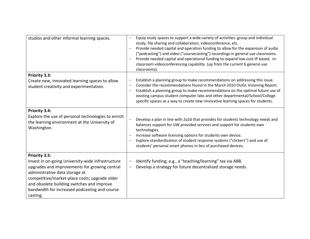| studios and other informal learning spaces.                                                                                                                                                                                                                                                                       | Equip study spaces to support a wide variety of activities: group and individual<br>$\qquad \qquad -$<br>study, file sharing and collaboration, videoconference, etc.<br>Provide needed capital and operation funding to allow for the expansion of audio<br>("podcasting") and video ("coursecasting") recordings in general use classrooms.<br>Provide needed capital and operational funding to expand low-cost IP based, in-<br>classroom videoconferencing capability (up from the current 6 general use<br>classrooms). |
|-------------------------------------------------------------------------------------------------------------------------------------------------------------------------------------------------------------------------------------------------------------------------------------------------------------------|-------------------------------------------------------------------------------------------------------------------------------------------------------------------------------------------------------------------------------------------------------------------------------------------------------------------------------------------------------------------------------------------------------------------------------------------------------------------------------------------------------------------------------|
| Priority 3.3:<br>Create new, innovated learning spaces to allow<br>student creativity and experimentation.                                                                                                                                                                                                        | Establish a planning group to make recommendations on addressing this issue.<br>Consider the recommendations found in the March 2010 OUGL Visioning Report.<br>Establish a planning group to make recommendations on the optimal future use of<br>existing campus student computer labs and other departmental/School/College<br>specific spaces as a way to create new innovative learning spaces for students.                                                                                                              |
| Priority 3.4:<br>Explore the use of personal technologies to enrich<br>the learning environment at the University of<br>Washington.                                                                                                                                                                               | Develop a plan in line with 2y2d that provides for students technology needs and<br>balances support for UW provided services and support for students own<br>technologies.<br>Increase software licensing options for students own device.<br>Explore standardization of student response systems ("clickers") and use of<br>students' personal smart phones in lieu of purchased devices.                                                                                                                                   |
| Priority 3.5:<br>Invest in on-going University-wide infrastructure<br>upgrades and improvements for growing central<br>administrative data storage at<br>competitive/market-place costs; upgrade older<br>and obsolete building switches and improve<br>bandwidth for increased podcasting and course<br>casting. | Identify funding; e.g., a "teaching/learning" tax via ABB.<br>Develop a strategy for future decentralized storage needs.                                                                                                                                                                                                                                                                                                                                                                                                      |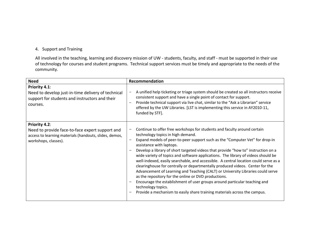## 4. Support and Training

All involved in the teaching, learning and discovery mission of UW - students, faculty, and staff - must be supported in their use of technology for courses and student programs. Technical support services must be timely and appropriate to the needs of the community.

| <b>Need</b>                                                                                                                                        | Recommendation                                                                                                                                                                                                                                                                                                                                                                                                                                                                                                                                                                                                                                                                                                                                                                                                                                                                                          |
|----------------------------------------------------------------------------------------------------------------------------------------------------|---------------------------------------------------------------------------------------------------------------------------------------------------------------------------------------------------------------------------------------------------------------------------------------------------------------------------------------------------------------------------------------------------------------------------------------------------------------------------------------------------------------------------------------------------------------------------------------------------------------------------------------------------------------------------------------------------------------------------------------------------------------------------------------------------------------------------------------------------------------------------------------------------------|
| Priority 4.1:<br>Need to develop just-in-time delivery of technical<br>support for students and instructors and their<br>courses.                  | A unified help ticketing or triage system should be created so all instructors receive<br>consistent support and have a single point of contact for support.<br>Provide technical support via live chat, similar to the "Ask a Librarian" service<br>offered by the UW Libraries. [LST is implementing this service in AY2010-11,<br>funded by STF].                                                                                                                                                                                                                                                                                                                                                                                                                                                                                                                                                    |
| Priority 4.2:<br>Need to provide face-to-face expert support and<br>access to learning materials (handouts, slides, demos,<br>workshops, classes). | Continue to offer free workshops for students and faculty around certain<br>technology topics in high demand.<br>Expand models of peer-to-peer support such as the "Computer Vet" for drop-in<br>assistance with laptops.<br>Develop a library of short targeted videos that provide "how to" instruction on a<br>wide variety of topics and software applications. The library of videos should be<br>well-indexed, easily searchable, and accessible. A central location could serve as a<br>clearinghouse for centrally or departmentally produced videos. Center for the<br>Advancement of Learning and Teaching (CALT) or University Libraries could serve<br>as the repository for the online or DVD productions.<br>Encourage the establishment of user groups around particular teaching and<br>technology topics.<br>Provide a mechanism to easily share training materials across the campus. |